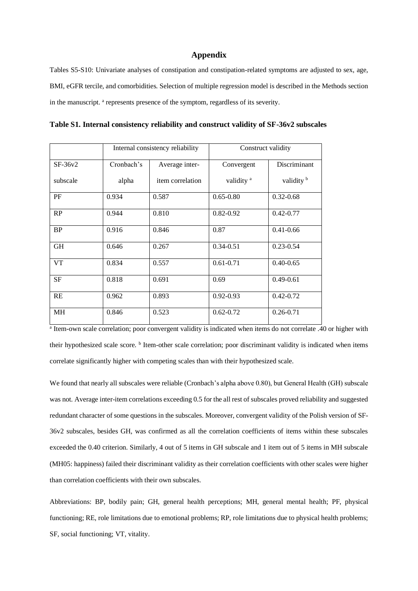#### **Appendix**

Tables S5-S10: Univariate analyses of constipation and constipation-related symptoms are adjusted to sex, age, BMI, eGFR tercile, and comorbidities. Selection of multiple regression model is described in the Methods section in the manuscript. <sup>a</sup> represents presence of the symptom, regardless of its severity.

**Table S1. Internal consistency reliability and construct validity of SF-36v2 subscales**

|           |            | Internal consistency reliability |                       | Construct validity    |  |  |  |
|-----------|------------|----------------------------------|-----------------------|-----------------------|--|--|--|
| $SF-36v2$ | Cronbach's | Average inter-                   | Convergent            | Discriminant          |  |  |  |
| subscale  | alpha      | item correlation                 | validity <sup>a</sup> | validity <sup>b</sup> |  |  |  |
| PF        | 0.934      | 0.587                            | $0.65 - 0.80$         | $0.32 - 0.68$         |  |  |  |
| RP        | 0.944      | 0.810                            | $0.82 - 0.92$         | $0.42 - 0.77$         |  |  |  |
| <b>BP</b> | 0.916      | 0.846                            | 0.87                  | $0.41 - 0.66$         |  |  |  |
| <b>GH</b> | 0.646      | 0.267                            | $0.34 - 0.51$         | $0.23 - 0.54$         |  |  |  |
| <b>VT</b> | 0.834      | 0.557                            | $0.61 - 0.71$         | $0.40 - 0.65$         |  |  |  |
| <b>SF</b> | 0.818      | 0.691                            | 0.69                  | $0.49 - 0.61$         |  |  |  |
| RE        | 0.962      | 0.893                            | $0.92 - 0.93$         | $0.42 - 0.72$         |  |  |  |
| MH        | 0.846      | 0.523                            | $0.62 - 0.72$         | $0.26 - 0.71$         |  |  |  |

<sup>a</sup> Item-own scale correlation; poor convergent validity is indicated when items do not correlate .40 or higher with their hypothesized scale score. <sup>b</sup> Item-other scale correlation; poor discriminant validity is indicated when items correlate significantly higher with competing scales than with their hypothesized scale.

We found that nearly all subscales were reliable (Cronbach's alpha above 0.80), but General Health (GH) subscale was not. Average inter-item correlations exceeding 0.5 for the all rest of subscales proved reliability and suggested redundant character of some questions in the subscales. Moreover, convergent validity of the Polish version of SF-36v2 subscales, besides GH, was confirmed as all the correlation coefficients of items within these subscales exceeded the 0.40 criterion. Similarly, 4 out of 5 items in GH subscale and 1 item out of 5 items in MH subscale (MH05: happiness) failed their discriminant validity as their correlation coefficients with other scales were higher than correlation coefficients with their own subscales.

Abbreviations: BP, bodily pain; GH, general health perceptions; MH, general mental health; PF, physical functioning; RE, role limitations due to emotional problems; RP, role limitations due to physical health problems; SF, social functioning; VT, vitality.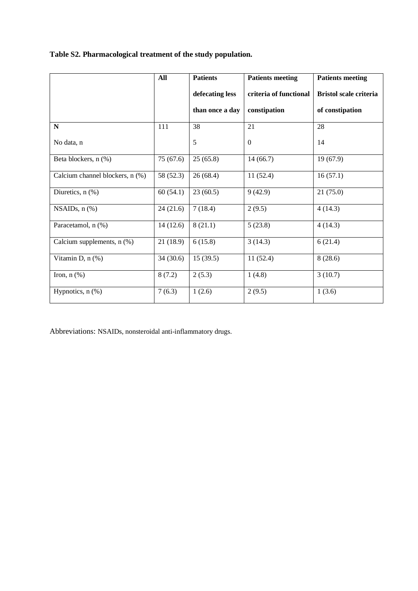#### **Table S2. Pharmacological treatment of the study population.**

|                                 | All       | <b>Patients</b> | <b>Patients meeting</b> | <b>Patients meeting</b>       |
|---------------------------------|-----------|-----------------|-------------------------|-------------------------------|
|                                 |           | defecating less | criteria of functional  | <b>Bristol scale criteria</b> |
|                                 |           | than once a day | constipation            | of constipation               |
| $\mathbf N$                     | 111       | 38              | 21                      | 28                            |
| No data, n                      |           | 5               | $\theta$                | 14                            |
| Beta blockers, n (%)            | 75(67.6)  | 25(65.8)        | 14(66.7)                | 19(67.9)                      |
| Calcium channel blockers, n (%) | 58 (52.3) | 26(68.4)        | 11(52.4)                | 16(57.1)                      |
| Diuretics, $n$ $(\%)$           | 60(54.1)  | 23(60.5)        | 9(42.9)                 | 21(75.0)                      |
| NSAIDs, $n$ $%$                 | 24(21.6)  | 7(18.4)         | 2(9.5)                  | 4(14.3)                       |
| Paracetamol, n (%)              | 14(12.6)  | 8(21.1)         | 5(23.8)                 | 4(14.3)                       |
| Calcium supplements, n (%)      | 21(18.9)  | 6(15.8)         | 3(14.3)                 | 6(21.4)                       |
| Vitamin D, n (%)                | 34(30.6)  | 15(39.5)        | 11(52.4)                | 8(28.6)                       |
| Iron, $n$ $(\%)$                | 8(7.2)    | 2(5.3)          | 1(4.8)                  | 3(10.7)                       |
| Hypnotics, $n$ $%$              | 7(6.3)    | 1(2.6)          | 2(9.5)                  | 1(3.6)                        |

Abbreviations: NSAIDs, nonsteroidal anti-inflammatory drugs.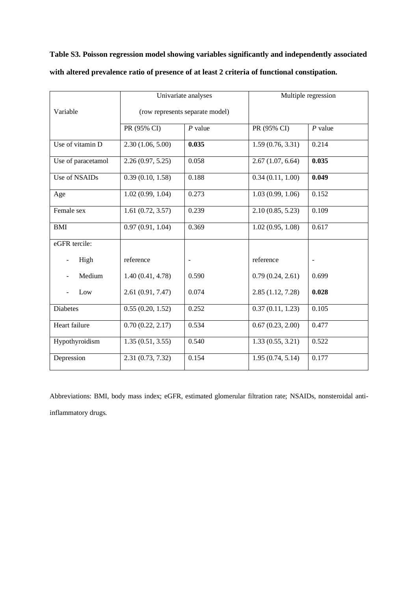**Table S3. Poisson regression model showing variables significantly and independently associated with altered prevalence ratio of presence of at least 2 criteria of functional constipation.**

|                    |                  | Univariate analyses             |                  | Multiple regression      |  |  |
|--------------------|------------------|---------------------------------|------------------|--------------------------|--|--|
| Variable           |                  | (row represents separate model) |                  |                          |  |  |
|                    | PR (95% CI)      | $P$ value                       | PR (95% CI)      | $P$ value                |  |  |
| Use of vitamin D   | 2.30(1.06, 5.00) | 0.035                           | 1.59(0.76, 3.31) | 0.214                    |  |  |
| Use of paracetamol | 2.26(0.97, 5.25) | 0.058                           | 2.67(1.07, 6.64) | 0.035                    |  |  |
| Use of NSAIDs      | 0.39(0.10, 1.58) | 0.188                           | 0.34(0.11, 1.00) | 0.049                    |  |  |
| Age                | 1.02(0.99, 1.04) | 0.273                           | 1.03(0.99, 1.06) | 0.152                    |  |  |
| Female sex         | 1.61(0.72, 3.57) | 0.239                           | 2.10(0.85, 5.23) | 0.109                    |  |  |
| <b>BMI</b>         | 0.97(0.91, 1.04) | 0.369                           | 1.02(0.95, 1.08) | 0.617                    |  |  |
| eGFR tercile:      |                  |                                 |                  |                          |  |  |
| High               | reference        | $\blacksquare$                  | reference        | $\overline{\phantom{a}}$ |  |  |
| Medium             | 1.40(0.41, 4.78) | 0.590                           | 0.79(0.24, 2.61) | 0.699                    |  |  |
| Low                | 2.61(0.91, 7.47) | 0.074                           | 2.85(1.12, 7.28) | 0.028                    |  |  |
| <b>Diabetes</b>    | 0.55(0.20, 1.52) | 0.252                           | 0.37(0.11, 1.23) | 0.105                    |  |  |
| Heart failure      | 0.70(0.22, 2.17) | 0.534                           | 0.67(0.23, 2.00) | 0.477                    |  |  |
| Hypothyroidism     | 1.35(0.51, 3.55) | 0.540                           | 1.33(0.55, 3.21) | 0.522                    |  |  |
| Depression         | 2.31(0.73, 7.32) | 0.154                           | 1.95(0.74, 5.14) | 0.177                    |  |  |

Abbreviations: BMI, body mass index; eGFR, estimated glomerular filtration rate; NSAIDs, nonsteroidal antiinflammatory drugs.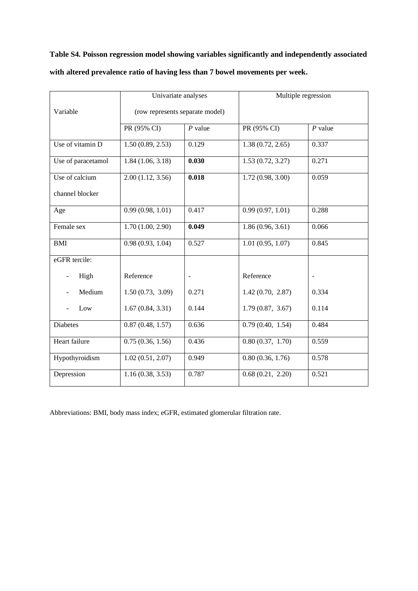**Table S4. Poisson regression model showing variables significantly and independently associated with altered prevalence ratio of having less than 7 bowel movements per week.**

|                    | Univariate analyses             |           | Multiple regression |                |  |
|--------------------|---------------------------------|-----------|---------------------|----------------|--|
| Variable           | (row represents separate model) |           |                     |                |  |
|                    | PR (95% CI)                     | $P$ value | PR (95% CI)         | $P$ value      |  |
| Use of vitamin D   | 1.50(0.89, 2.53)                | 0.129     | 1.38(0.72, 2.65)    | 0.337          |  |
| Use of paracetamol | 1.84(1.06, 3.18)                | 0.030     | 1.53(0.72, 3.27)    | 0.271          |  |
| Use of calcium     | 2.00(1.12, 3.56)                | 0.018     | 1.72(0.98, 3.00)    | 0.059          |  |
| channel blocker    |                                 |           |                     |                |  |
| Age                | 0.99(0.98, 1.01)                | 0.417     | 0.99(0.97, 1.01)    | 0.288          |  |
| Female sex         | 1.70(1.00, 2.90)                | 0.049     | 1.86(0.96, 3.61)    | 0.066          |  |
| <b>BMI</b>         | 0.98(0.93, 1.04)                | 0.527     | 1.01(0.95, 1.07)    | 0.845          |  |
| eGFR tercile:      |                                 |           |                     |                |  |
| High               | Reference                       |           | Reference           | $\blacksquare$ |  |
| Medium             | 1.50(0.73, 3.09)                | 0.271     | 1.42(0.70, 2.87)    | 0.334          |  |
| Low                | 1.67(0.84, 3.31)                | 0.144     | 1.79(0.87, 3.67)    | 0.114          |  |
| <b>Diabetes</b>    | 0.87(0.48, 1.57)                | 0.636     | 0.79(0.40, 1.54)    | 0.484          |  |
| Heart failure      | 0.75(0.36, 1.56)                | 0.436     | 0.80(0.37, 1.70)    | 0.559          |  |
| Hypothyroidism     | 1.02(0.51, 2.07)                | 0.949     | 0.80(0.36, 1.76)    | 0.578          |  |
| Depression         | 1.16(0.38, 3.53)                | 0.787     | 0.68(0.21, 2.20)    | 0.521          |  |

Abbreviations: BMI, body mass index; eGFR, estimated glomerular filtration rate.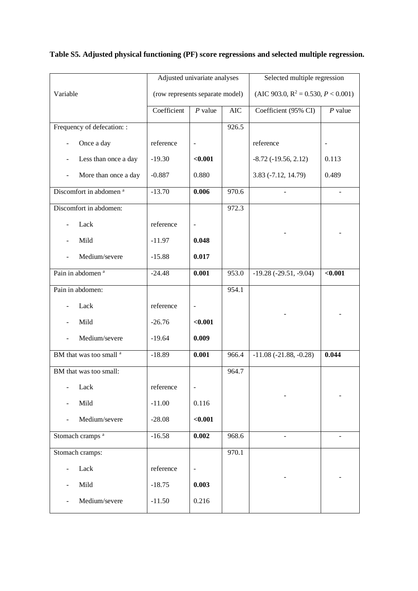|                                    | Adjusted univariate analyses |                                 | Selected multiple regression |                                        |           |
|------------------------------------|------------------------------|---------------------------------|------------------------------|----------------------------------------|-----------|
| Variable                           |                              | (row represents separate model) |                              | (AIC 903.0, $R^2 = 0.530, P < 0.001$ ) |           |
|                                    | Coefficient                  | $P$ value                       | <b>AIC</b>                   | Coefficient (95% CI)                   | $P$ value |
| Frequency of defecation: :         |                              |                                 | 926.5                        |                                        |           |
| Once a day                         | reference                    |                                 |                              | reference                              |           |
| Less than once a day               | $-19.30$                     | < 0.001                         |                              | $-8.72$ $(-19.56, 2.12)$               | 0.113     |
| More than once a day               | $-0.887$                     | 0.880                           |                              | 3.83 (-7.12, 14.79)                    | 0.489     |
| Discomfort in abdomen <sup>a</sup> | $-13.70$                     | 0.006                           | 970.6                        |                                        |           |
| Discomfort in abdomen:             |                              |                                 | 972.3                        |                                        |           |
| Lack                               | reference                    |                                 |                              |                                        |           |
| Mild                               | $-11.97$                     | 0.048                           |                              |                                        |           |
| Medium/severe                      | $-15.88$                     | 0.017                           |                              |                                        |           |
| Pain in abdomen <sup>a</sup>       | $-24.48$                     | 0.001                           | 953.0                        | $-19.28(-29.51, -9.04)$                | < 0.001   |
| Pain in abdomen:                   |                              |                                 | 954.1                        |                                        |           |
| Lack                               | reference                    | $\overline{\phantom{a}}$        |                              |                                        |           |
| Mild                               | $-26.76$                     | < 0.001                         |                              |                                        |           |
| Medium/severe                      | $-19.64$                     | 0.009                           |                              |                                        |           |
| BM that was too small <sup>a</sup> | $-18.89$                     | 0.001                           | 966.4                        | $-11.08(-21.88, -0.28)$                | 0.044     |
| BM that was too small:             |                              |                                 | 964.7                        |                                        |           |
| Lack                               | reference                    |                                 |                              |                                        |           |
| Mild                               | $-11.00$                     | 0.116                           |                              |                                        |           |
| Medium/severe                      | $-28.08$                     | < 0.001                         |                              |                                        |           |
| Stomach cramps <sup>a</sup>        | $-16.58$                     | 0.002                           | 968.6                        |                                        |           |
| Stomach cramps:                    |                              |                                 | 970.1                        |                                        |           |
| Lack                               | reference                    | $\overline{\phantom{a}}$        |                              |                                        |           |
| Mild                               | $-18.75$                     | 0.003                           |                              |                                        |           |
| Medium/severe                      | $-11.50$                     | 0.216                           |                              |                                        |           |

## **Table S5. Adjusted physical functioning (PF) score regressions and selected multiple regression.**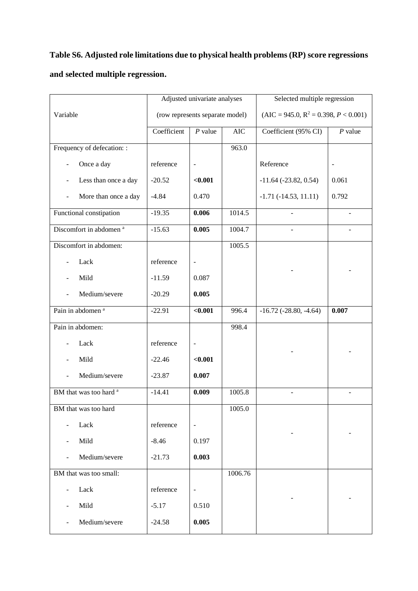# **Table S6. Adjusted role limitations due to physical health problems (RP) score regressions and selected multiple regression.**

|                                                      | Adjusted univariate analyses    |                          |            | Selected multiple regression            |           |
|------------------------------------------------------|---------------------------------|--------------------------|------------|-----------------------------------------|-----------|
| Variable                                             | (row represents separate model) |                          |            | $(AIC = 945.0, R^2 = 0.398, P < 0.001)$ |           |
|                                                      | Coefficient                     | $P$ value                | <b>AIC</b> | Coefficient (95% CI)                    | $P$ value |
| Frequency of defecation: :                           |                                 |                          | 963.0      |                                         |           |
| Once a day<br>$\overline{a}$                         | reference                       | $\overline{\phantom{a}}$ |            | Reference                               |           |
| Less than once a day<br>$\qquad \qquad \blacksquare$ | $-20.52$                        | < 0.001                  |            | $-11.64$ ( $-23.82$ , 0.54)             | 0.061     |
| More than once a day                                 | $-4.84$                         | 0.470                    |            | $-1.71(-14.53, 11.11)$                  | 0.792     |
| Functional constipation                              | $-19.35$                        | 0.006                    | 1014.5     |                                         |           |
| Discomfort in abdomen <sup>a</sup>                   | $-15.63$                        | 0.005                    | 1004.7     |                                         |           |
| Discomfort in abdomen:                               |                                 |                          | 1005.5     |                                         |           |
| Lack                                                 | reference                       | $\overline{\phantom{a}}$ |            |                                         |           |
| Mild                                                 | $-11.59$                        | 0.087                    |            |                                         |           |
| Medium/severe                                        | $-20.29$                        | 0.005                    |            |                                         |           |
| Pain in abdomen <sup>a</sup>                         | $-22.91$                        | $0.001$                  | 996.4      | $-16.72$ ( $-28.80$ , $-4.64$ )         | 0.007     |
| Pain in abdomen:                                     |                                 |                          | 998.4      |                                         |           |
| Lack                                                 | reference                       | $\overline{\phantom{a}}$ |            |                                         |           |
| Mild                                                 | $-22.46$                        | < 0.001                  |            |                                         |           |
| Medium/severe                                        | $-23.87$                        | 0.007                    |            |                                         |           |
| BM that was too hard <sup>a</sup>                    | $-14.41$                        | 0.009                    | 1005.8     |                                         |           |
| BM that was too hard                                 |                                 |                          | 1005.0     |                                         |           |
| Lack                                                 | reference                       | $\overline{\phantom{a}}$ |            |                                         |           |
| Mild                                                 | $-8.46$                         | 0.197                    |            |                                         |           |
| Medium/severe                                        | $-21.73$                        | 0.003                    |            |                                         |           |
| BM that was too small:                               |                                 |                          | 1006.76    |                                         |           |
| Lack                                                 | reference                       | $\overline{\phantom{a}}$ |            |                                         |           |
| Mild                                                 | $-5.17$                         | 0.510                    |            |                                         |           |
| Medium/severe                                        | $-24.58$                        | 0.005                    |            |                                         |           |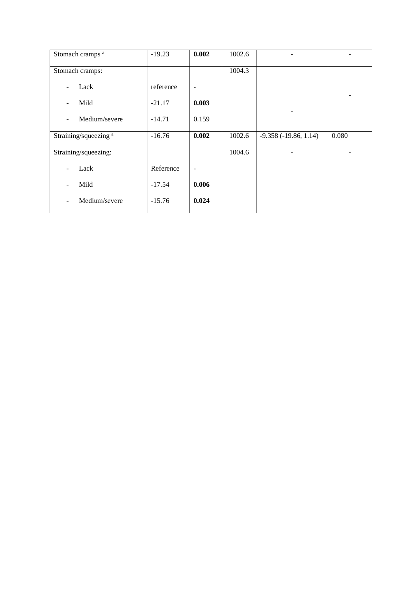| Stomach cramps <sup>a</sup>               | $-19.23$  | 0.002             | 1002.6 |                        |       |
|-------------------------------------------|-----------|-------------------|--------|------------------------|-------|
| Stomach cramps:                           |           |                   | 1004.3 |                        |       |
| Lack<br>-                                 | reference | $\qquad \qquad -$ |        |                        |       |
| Mild                                      | $-21.17$  | 0.003             |        |                        |       |
| Medium/severe<br>$\overline{\phantom{a}}$ | $-14.71$  | 0.159             |        |                        |       |
| Straining/squeezing <sup>a</sup>          | $-16.76$  | 0.002             | 1002.6 | $-9.358(-19.86, 1.14)$ | 0.080 |
| Straining/squeezing:                      |           |                   | 1004.6 |                        |       |
| Lack                                      | Reference | $\qquad \qquad -$ |        |                        |       |
| Mild<br>$\qquad \qquad -$                 | $-17.54$  | 0.006             |        |                        |       |
| Medium/severe<br>-                        | $-15.76$  | 0.024             |        |                        |       |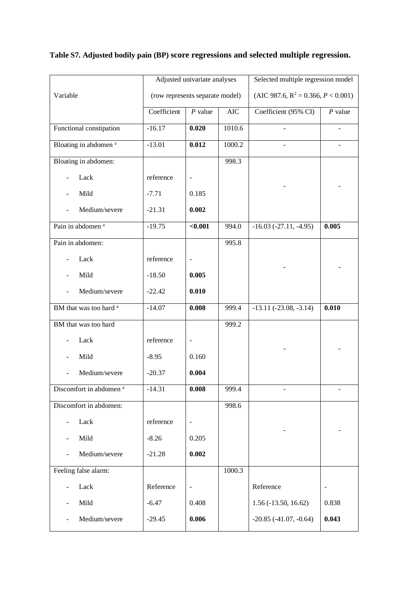|                                    |                                 | Adjusted univariate analyses |           | Selected multiple regression model        |                |
|------------------------------------|---------------------------------|------------------------------|-----------|-------------------------------------------|----------------|
| Variable                           | (row represents separate model) |                              |           | (AIC 987.6, $R^2 = 0.366$ , $P < 0.001$ ) |                |
|                                    | Coefficient                     | $P$ value                    | $\rm AIC$ | Coefficient (95% CI)                      | $P$ value      |
| Functional constipation            | $-16.17$                        | 0.020                        | 1010.6    |                                           |                |
| Bloating in abdomen <sup>a</sup>   | $-13.01$                        | 0.012                        | 1000.2    |                                           |                |
| Bloating in abdomen:               |                                 |                              | 998.3     |                                           |                |
| Lack                               | reference                       | $\qquad \qquad \blacksquare$ |           |                                           |                |
| Mild                               | $-7.71$                         | 0.185                        |           |                                           |                |
| Medium/severe                      | $-21.31$                        | 0.002                        |           |                                           |                |
| Pain in abdomen <sup>a</sup>       | $-19.75$                        | < 0.001                      | 994.0     | $-16.03$ $(-27.11, -4.95)$                | 0.005          |
| Pain in abdomen:                   |                                 |                              | 995.8     |                                           |                |
| Lack                               | reference                       | ۰                            |           |                                           |                |
| Mild                               | $-18.50$                        | 0.005                        |           |                                           |                |
| Medium/severe                      | $-22.42$                        | 0.010                        |           |                                           |                |
| BM that was too hard <sup>a</sup>  | $-14.07$                        | 0.008                        | 999.4     | $-13.11(-23.08, -3.14)$                   | 0.010          |
| BM that was too hard               |                                 |                              | 999.2     |                                           |                |
| Lack                               | reference                       | $\overline{\phantom{0}}$     |           |                                           |                |
| Mild                               | $-8.95$                         | 0.160                        |           |                                           |                |
| Medium/severe                      | $-20.37$                        | 0.004                        |           |                                           |                |
| Discomfort in abdomen <sup>a</sup> | $-14.31$                        | 0.008                        | 999.4     |                                           |                |
| Discomfort in abdomen:             |                                 |                              | 998.6     |                                           |                |
| Lack                               | reference                       | ۰                            |           |                                           |                |
| Mild                               | $-8.26$                         | 0.205                        |           |                                           |                |
| Medium/severe                      | $-21.28$                        | 0.002                        |           |                                           |                |
| Feeling false alarm:               |                                 |                              | 1000.3    |                                           |                |
| Lack                               | Reference                       | $\overline{\phantom{0}}$     |           | Reference                                 | $\overline{a}$ |
| Mild                               | $-6.47$                         | 0.408                        |           | $1.56 (-13.50, 16.62)$                    | 0.838          |
| Medium/severe                      | $-29.45$                        | 0.006                        |           | $-20.85$ $(-41.07, -0.64)$                | 0.043          |

## **Table S7. Adjusted bodily pain (BP) score regressions and selected multiple regression.**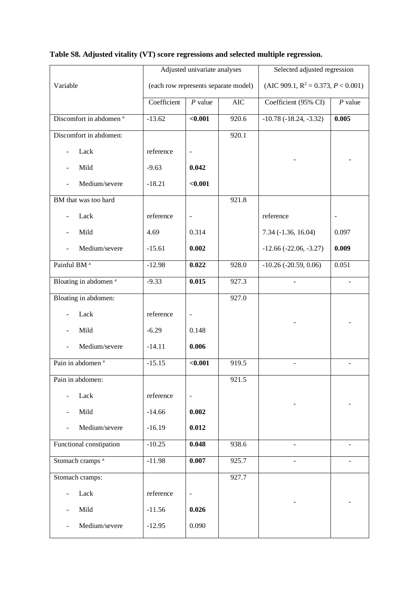|                                    |             | Adjusted univariate analyses         |            | Selected adjusted regression              |           |
|------------------------------------|-------------|--------------------------------------|------------|-------------------------------------------|-----------|
| Variable                           |             | (each row represents separate model) |            | (AIC 909.1, $R^2 = 0.373$ , $P < 0.001$ ) |           |
|                                    | Coefficient | $P$ value                            | <b>AIC</b> | Coefficient (95% CI)                      | $P$ value |
| Discomfort in abdomen <sup>a</sup> | $-13.62$    | $0.001$                              | 920.6      | $-10.78(-18.24, -3.32)$                   | 0.005     |
| Discomfort in abdomen:             |             |                                      | 920.1      |                                           |           |
| Lack                               | reference   | $\qquad \qquad \blacksquare$         |            |                                           |           |
| Mild                               | $-9.63$     | 0.042                                |            |                                           |           |
| Medium/severe                      | $-18.21$    | $0.001$                              |            |                                           |           |
| BM that was too hard               |             |                                      | 921.8      |                                           |           |
| Lack                               | reference   | $\qquad \qquad \blacksquare$         |            | reference                                 |           |
| Mild                               | 4.69        | 0.314                                |            | 7.34 (-1.36, 16.04)                       | 0.097     |
| Medium/severe                      | $-15.61$    | 0.002                                |            | $-12.66$ $(-22.06, -3.27)$                | 0.009     |
| Painful BM <sup>a</sup>            | $-12.98$    | 0.022                                | 928.0      | $-10.26$ ( $-20.59$ , 0.06)               | 0.051     |
| Bloating in abdomen <sup>a</sup>   | $-9.33$     | 0.015                                | 927.3      | $\blacksquare$                            |           |
| Bloating in abdomen:               |             |                                      | 927.0      |                                           |           |
| Lack                               | reference   | $\qquad \qquad \blacksquare$         |            |                                           |           |
| Mild                               | $-6.29$     | 0.148                                |            |                                           |           |
| Medium/severe                      | $-14.11$    | 0.006                                |            |                                           |           |
| Pain in abdomen <sup>a</sup>       | $-15.15$    | $\sqrt{0.001}$                       | 919.5      | $\blacksquare$                            | ÷.        |
| Pain in abdomen:                   |             |                                      | 921.5      |                                           |           |
| Lack<br>$\overline{\phantom{a}}$   | reference   | $\Box$                               |            |                                           |           |
| Mild                               | $-14.66$    | 0.002                                |            |                                           |           |
| Medium/severe                      | $-16.19$    | 0.012                                |            |                                           |           |
| Functional constipation            | $-10.25$    | 0.048                                | 938.6      |                                           |           |
| Stomach cramps <sup>a</sup>        | $-11.98$    | 0.007                                | 925.7      |                                           |           |
| Stomach cramps:                    |             |                                      | 927.7      |                                           |           |
| Lack                               | reference   | $\overline{\phantom{a}}$             |            |                                           |           |
| Mild                               | $-11.56$    | 0.026                                |            |                                           |           |
| Medium/severe<br>÷,                | $-12.95$    | 0.090                                |            |                                           |           |

## **Table S8. Adjusted vitality (VT) score regressions and selected multiple regression.**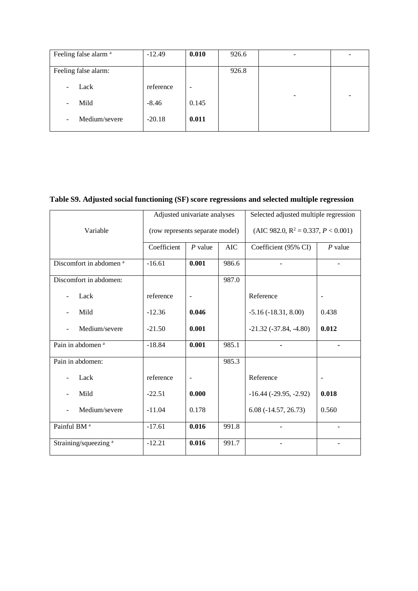| Feeling false alarm <sup>a</sup> | $-12.49$  | 0.010                    | 926.6 |                          |                          |
|----------------------------------|-----------|--------------------------|-------|--------------------------|--------------------------|
| Feeling false alarm:             |           |                          | 926.8 |                          |                          |
| Lack                             | reference | $\overline{\phantom{a}}$ |       |                          |                          |
| Mild                             | $-8.46$   | 0.145                    |       | $\overline{\phantom{0}}$ | $\overline{\phantom{0}}$ |
| Medium/severe<br>-               | $-20.18$  | 0.011                    |       |                          |                          |

#### **Table S9. Adjusted social functioning (SF) score regressions and selected multiple regression**

|                                    | Adjusted univariate analyses    |                          |            | Selected adjusted multiple regression     |                          |
|------------------------------------|---------------------------------|--------------------------|------------|-------------------------------------------|--------------------------|
| Variable                           | (row represents separate model) |                          |            | (AIC 982.0, $R^2 = 0.337$ , $P < 0.001$ ) |                          |
|                                    | Coefficient                     | $P$ value                | <b>AIC</b> | Coefficient (95% CI)                      | $P$ value                |
| Discomfort in abdomen <sup>a</sup> | $-16.61$                        | 0.001                    | 986.6      |                                           |                          |
| Discomfort in abdomen:             |                                 |                          | 987.0      |                                           |                          |
| Lack                               | reference                       | $\overline{\phantom{a}}$ |            | Reference                                 | $\overline{\phantom{a}}$ |
| Mild                               | $-12.36$                        | 0.046                    |            | $-5.16(-18.31, 8.00)$                     | 0.438                    |
| Medium/severe                      | $-21.50$                        | 0.001                    |            | $-21.32(-37.84, -4.80)$                   | 0.012                    |
| Pain in abdomen <sup>a</sup>       | $-18.84$                        | 0.001                    | 985.1      |                                           |                          |
| Pain in abdomen:                   |                                 |                          | 985.3      |                                           |                          |
| Lack                               | reference                       | $\blacksquare$           |            | Reference                                 | $\blacksquare$           |
| Mild                               | $-22.51$                        | 0.000                    |            | $-16.44$ ( $-29.95$ , $-2.92$ )           | 0.018                    |
| Medium/severe                      | $-11.04$                        | 0.178                    |            | $6.08(-14.57, 26.73)$                     | 0.560                    |
| Painful BM <sup>a</sup>            | $-17.61$                        | 0.016                    | 991.8      |                                           |                          |
| Straining/squeezing <sup>a</sup>   | $-12.21$                        | 0.016                    | 991.7      |                                           |                          |